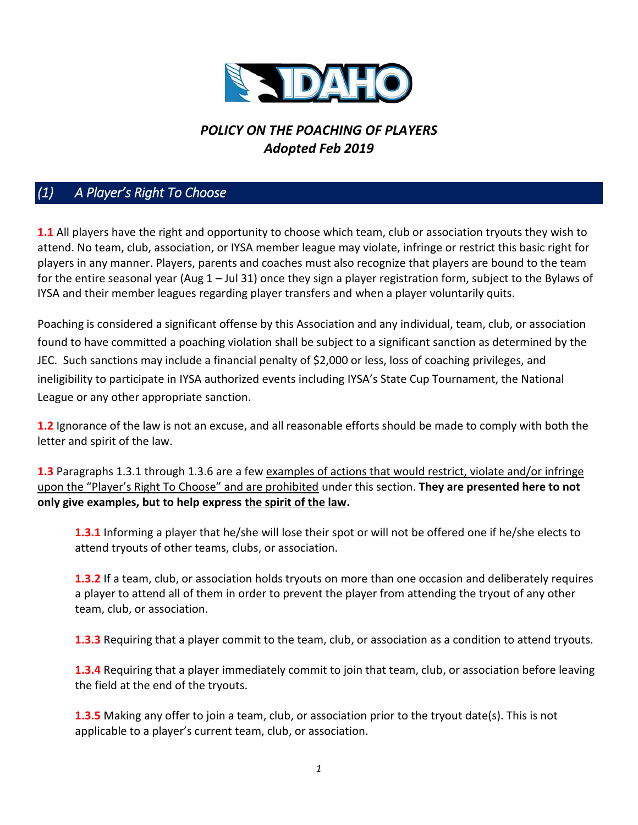

# *POLICY ON THE POACHING OF PLAYERS Adopted Feb 2019*

## *(1) A Player's Right To Choose*

**1.1** All players have the right and opportunity to choose which team, club or association tryouts they wish to attend. No team, club, association, or IYSA member league may violate, infringe or restrict this basic right for players in any manner. Players, parents and coaches must also recognize that players are bound to the team for the entire seasonal year (Aug 1 – Jul 31) once they sign a player registration form, subject to the Bylaws of IYSA and their member leagues regarding player transfers and when a player voluntarily quits.

Poaching is considered a significant offense by this Association and any individual, team, club, or association found to have committed a poaching violation shall be subject to a significant sanction as determined by the JEC. Such sanctions may include a financial penalty of \$2,000 or less, loss of coaching privileges, and ineligibility to participate in IYSA authorized events including IYSA's State Cup Tournament, the National League or any other appropriate sanction.

**1.2** Ignorance of the law is not an excuse, and all reasonable efforts should be made to comply with both the letter and spirit of the law.

**1.3** Paragraphs 1.3.1 through 1.3.6 are a few examples of actions that would restrict, violate and/or infringe upon the "Player's Right To Choose" and are prohibited under this section. **They are presented here to not only give examples, but to help express the spirit of the law.**

**1.3.1** Informing a player that he/she will lose their spot or will not be offered one if he/she elects to attend tryouts of other teams, clubs, or association.

**1.3.2** If a team, club, or association holds tryouts on more than one occasion and deliberately requires a player to attend all of them in order to prevent the player from attending the tryout of any other team, club, or association.

**1.3.3** Requiring that a player commit to the team, club, or association as a condition to attend tryouts.

**1.3.4** Requiring that a player immediately commit to join that team, club, or association before leaving the field at the end of the tryouts.

**1.3.5** Making any offer to join a team, club, or association prior to the tryout date(s). This is not applicable to a player's current team, club, or association.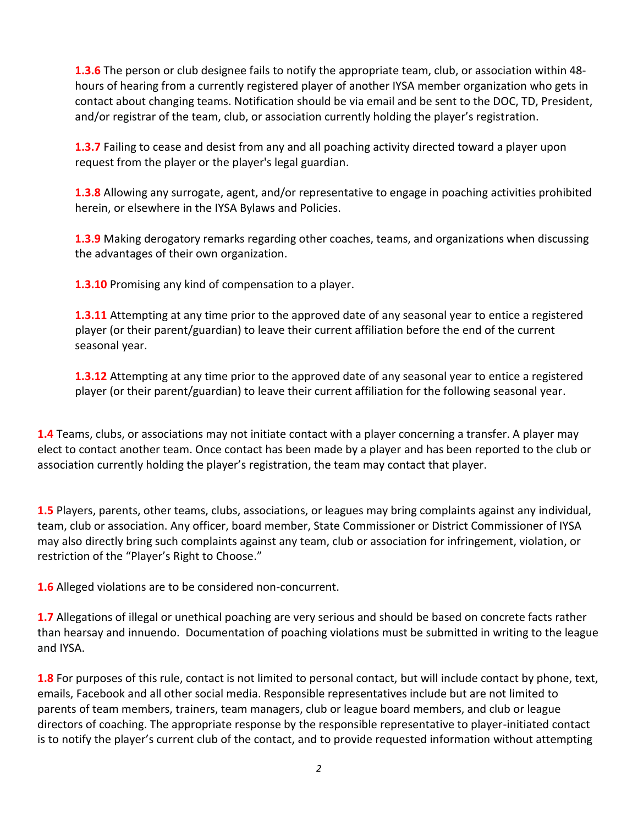**1.3.6** The person or club designee fails to notify the appropriate team, club, or association within 48 hours of hearing from a currently registered player of another IYSA member organization who gets in contact about changing teams. Notification should be via email and be sent to the DOC, TD, President, and/or registrar of the team, club, or association currently holding the player's registration.

**1.3.7** Failing to cease and desist from any and all poaching activity directed toward a player upon request from the player or the player's legal guardian.

**1.3.8** Allowing any surrogate, agent, and/or representative to engage in poaching activities prohibited herein, or elsewhere in the IYSA Bylaws and Policies.

**1.3.9** Making derogatory remarks regarding other coaches, teams, and organizations when discussing the advantages of their own organization.

**1.3.10** Promising any kind of compensation to a player.

**1.3.11** Attempting at any time prior to the approved date of any seasonal year to entice a registered player (or their parent/guardian) to leave their current affiliation before the end of the current seasonal year.

**1.3.12** Attempting at any time prior to the approved date of any seasonal year to entice a registered player (or their parent/guardian) to leave their current affiliation for the following seasonal year.

**1.4** Teams, clubs, or associations may not initiate contact with a player concerning a transfer. A player may elect to contact another team. Once contact has been made by a player and has been reported to the club or association currently holding the player's registration, the team may contact that player.

**1.5** Players, parents, other teams, clubs, associations, or leagues may bring complaints against any individual, team, club or association. Any officer, board member, State Commissioner or District Commissioner of IYSA may also directly bring such complaints against any team, club or association for infringement, violation, or restriction of the "Player's Right to Choose."

**1.6** Alleged violations are to be considered non-concurrent.

**1.7** Allegations of illegal or unethical poaching are very serious and should be based on concrete facts rather than hearsay and innuendo. Documentation of poaching violations must be submitted in writing to the league and IYSA.

**1.8** For purposes of this rule, contact is not limited to personal contact, but will include contact by phone, text, emails, Facebook and all other social media. Responsible representatives include but are not limited to parents of team members, trainers, team managers, club or league board members, and club or league directors of coaching. The appropriate response by the responsible representative to player-initiated contact is to notify the player's current club of the contact, and to provide requested information without attempting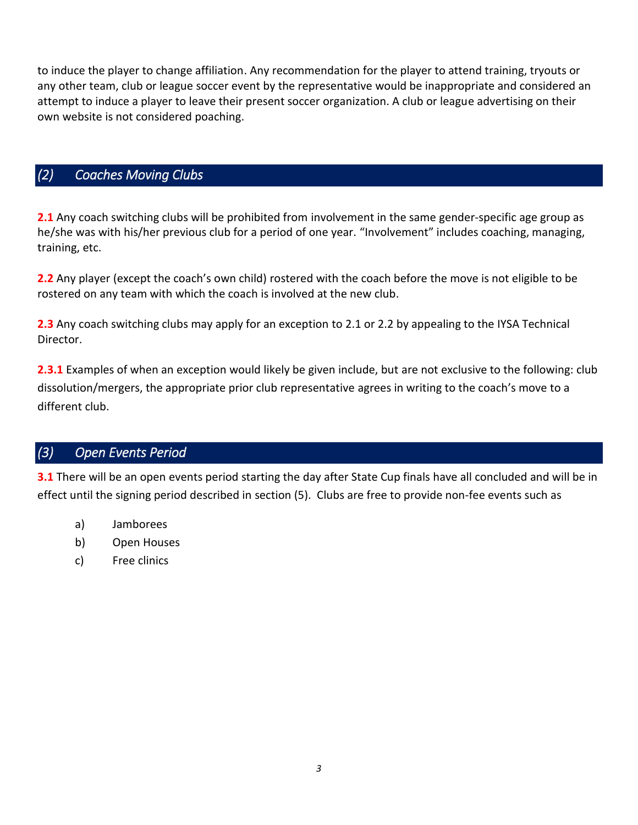to induce the player to change affiliation. Any recommendation for the player to attend training, tryouts or any other team, club or league soccer event by the representative would be inappropriate and considered an attempt to induce a player to leave their present soccer organization. A club or league advertising on their own website is not considered poaching.

### *(2) Coaches Moving Clubs*

**2.1** Any coach switching clubs will be prohibited from involvement in the same gender-specific age group as he/she was with his/her previous club for a period of one year. "Involvement" includes coaching, managing, training, etc.

**2.2** Any player (except the coach's own child) rostered with the coach before the move is not eligible to be rostered on any team with which the coach is involved at the new club.

**2.3** Any coach switching clubs may apply for an exception to 2.1 or 2.2 by appealing to the IYSA Technical Director.

**2.3.1** Examples of when an exception would likely be given include, but are not exclusive to the following: club dissolution/mergers, the appropriate prior club representative agrees in writing to the coach's move to a different club.

#### *(3) Open Events Period*

**3.1** There will be an open events period starting the day after State Cup finals have all concluded and will be in effect until the signing period described in section (5). Clubs are free to provide non-fee events such as

- a) Jamborees
- b) Open Houses
- c) Free clinics